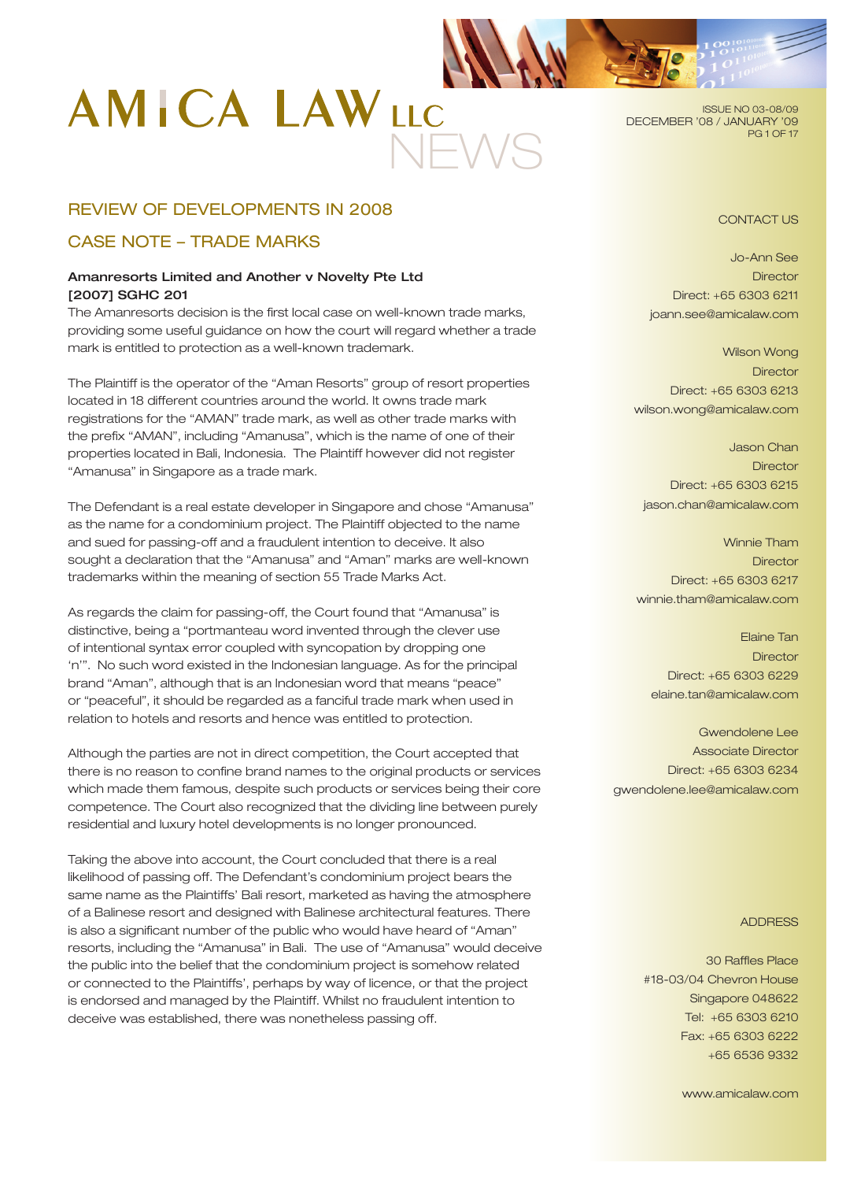# NEWS

ISSUE NO 03-08/09 DECEMBER '08 / JANUARY '09 **PG 1 OF 17** 

# REVIEW OF DEVELOPMENTS IN 2008

# CASE NOTE – TRADE MARKS

# Amanresorts Limited and Another v Novelty Pte Ltd [2007] SGHC 201

The Amanresorts decision is the first local case on well-known trade marks, providing some useful guidance on how the court will regard whether a trade mark is entitled to protection as a well-known trademark.

The Plaintiff is the operator of the "Aman Resorts" group of resort properties located in 18 different countries around the world. It owns trade mark registrations for the "AMAN" trade mark, as well as other trade marks with the prefix "AMAN", including "Amanusa", which is the name of one of their properties located in Bali, Indonesia. The Plaintiff however did not register "Amanusa" in Singapore as a trade mark.

The Defendant is a real estate developer in Singapore and chose "Amanusa" as the name for a condominium project. The Plaintiff objected to the name and sued for passing-off and a fraudulent intention to deceive. It also sought a declaration that the "Amanusa" and "Aman" marks are well-known trademarks within the meaning of section 55 Trade Marks Act.

As regards the claim for passing-off, the Court found that "Amanusa" is distinctive, being a "portmanteau word invented through the clever use of intentional syntax error coupled with syncopation by dropping one 'n'". No such word existed in the Indonesian language. As for the principal brand "Aman", although that is an Indonesian word that means "peace" or "peaceful", it should be regarded as a fanciful trade mark when used in relation to hotels and resorts and hence was entitled to protection.

Although the parties are not in direct competition, the Court accepted that there is no reason to confine brand names to the original products or services which made them famous, despite such products or services being their core competence. The Court also recognized that the dividing line between purely residential and luxury hotel developments is no longer pronounced.

Taking the above into account, the Court concluded that there is a real likelihood of passing off. The Defendant's condominium project bears the same name as the Plaintiffs' Bali resort, marketed as having the atmosphere of a Balinese resort and designed with Balinese architectural features. There is also a significant number of the public who would have heard of "Aman" resorts, including the "Amanusa" in Bali. The use of "Amanusa" would deceive the public into the belief that the condominium project is somehow related or connected to the Plaintiffs', perhaps by way of licence, or that the project is endorsed and managed by the Plaintiff. Whilst no fraudulent intention to deceive was established, there was nonetheless passing off.

# CONTACT US

Jo-Ann See **Director** Direct: +65 6303 6211 joann.see@amicalaw.com

Wilson Wong **Director** Direct: +65 6303 6213 wilson.wong@amicalaw.com

Jason Chan **Director** Direct: +65 6303 6215 jason.chan@amicalaw.com

Winnie Tham **Director** Direct: +65 6303 6217 winnie.tham@amicalaw.com

Elaine Tan **Director** Direct: +65 6303 6229 elaine.tan@amicalaw.com

Gwendolene Lee Associate Director Direct: +65 6303 6234 gwendolene.lee@amicalaw.com

#### ADDRESS

30 Raffles Place #18-03/04 Chevron House Singapore 048622 Tel: +65 6303 6210 Fax: +65 6303 6222 +65 6536 9332

www.amicalaw.com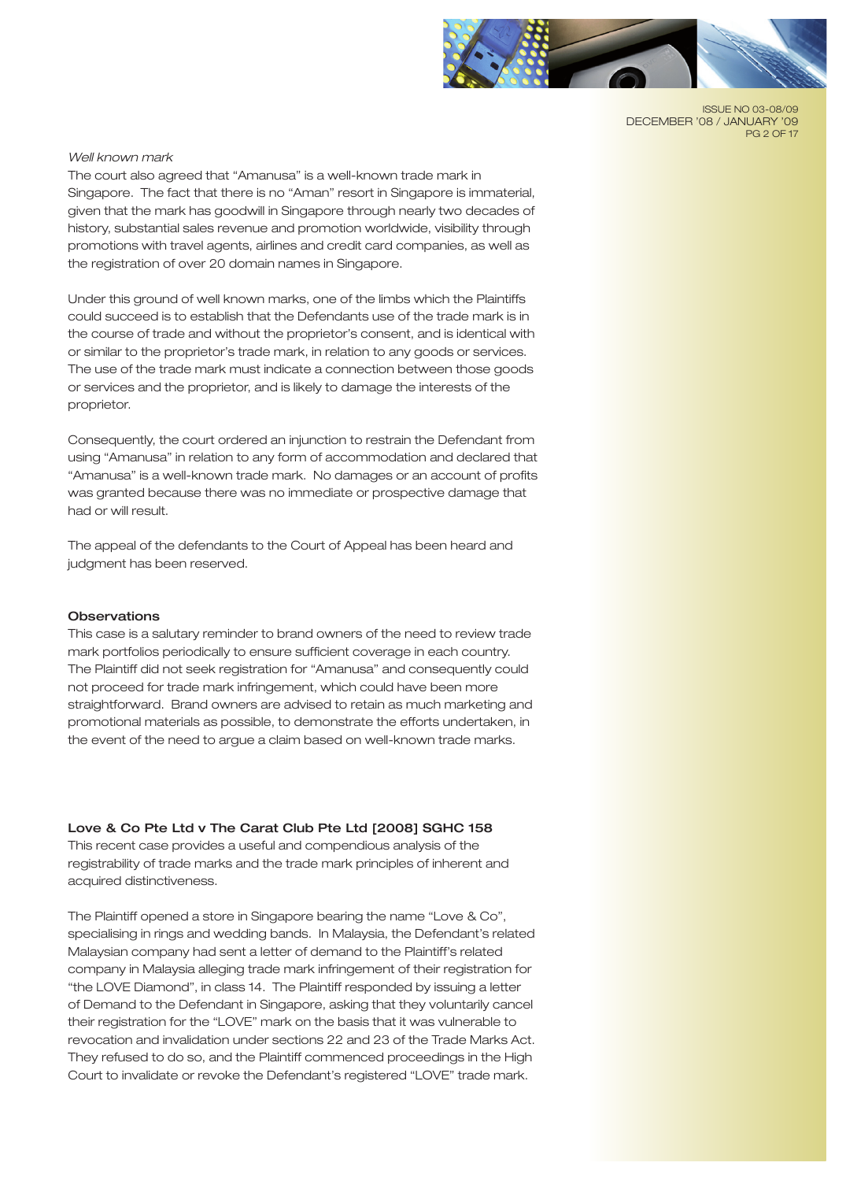

ISSUE NO 03-08/09 DECEMBER '08 / JANUARY '09 **PG 2 OF 17** 

#### *Well known mark*

The court also agreed that "Amanusa" is a well-known trade mark in Singapore. The fact that there is no "Aman" resort in Singapore is immaterial, given that the mark has goodwill in Singapore through nearly two decades of history, substantial sales revenue and promotion worldwide, visibility through promotions with travel agents, airlines and credit card companies, as well as the registration of over 20 domain names in Singapore.

Under this ground of well known marks, one of the limbs which the Plaintiffs could succeed is to establish that the Defendants use of the trade mark is in the course of trade and without the proprietor's consent, and is identical with or similar to the proprietor's trade mark, in relation to any goods or services. The use of the trade mark must indicate a connection between those goods or services and the proprietor, and is likely to damage the interests of the proprietor.

Consequently, the court ordered an injunction to restrain the Defendant from using "Amanusa" in relation to any form of accommodation and declared that "Amanusa" is a well-known trade mark. No damages or an account of profits was granted because there was no immediate or prospective damage that had or will result.

The appeal of the defendants to the Court of Appeal has been heard and judgment has been reserved.

#### **Observations**

This case is a salutary reminder to brand owners of the need to review trade mark portfolios periodically to ensure sufficient coverage in each country. The Plaintiff did not seek registration for "Amanusa" and consequently could not proceed for trade mark infringement, which could have been more straightforward. Brand owners are advised to retain as much marketing and promotional materials as possible, to demonstrate the efforts undertaken, in the event of the need to argue a claim based on well-known trade marks.

## Love & Co Pte Ltd v The Carat Club Pte Ltd [2008] SGHC 158

This recent case provides a useful and compendious analysis of the registrability of trade marks and the trade mark principles of inherent and acquired distinctiveness.

The Plaintiff opened a store in Singapore bearing the name "Love & Co", specialising in rings and wedding bands. In Malaysia, the Defendant's related Malaysian company had sent a letter of demand to the Plaintiff's related company in Malaysia alleging trade mark infringement of their registration for "the LOVE Diamond", in class 14. The Plaintiff responded by issuing a letter of Demand to the Defendant in Singapore, asking that they voluntarily cancel their registration for the "LOVE" mark on the basis that it was vulnerable to revocation and invalidation under sections 22 and 23 of the Trade Marks Act. They refused to do so, and the Plaintiff commenced proceedings in the High Court to invalidate or revoke the Defendant's registered "LOVE" trade mark.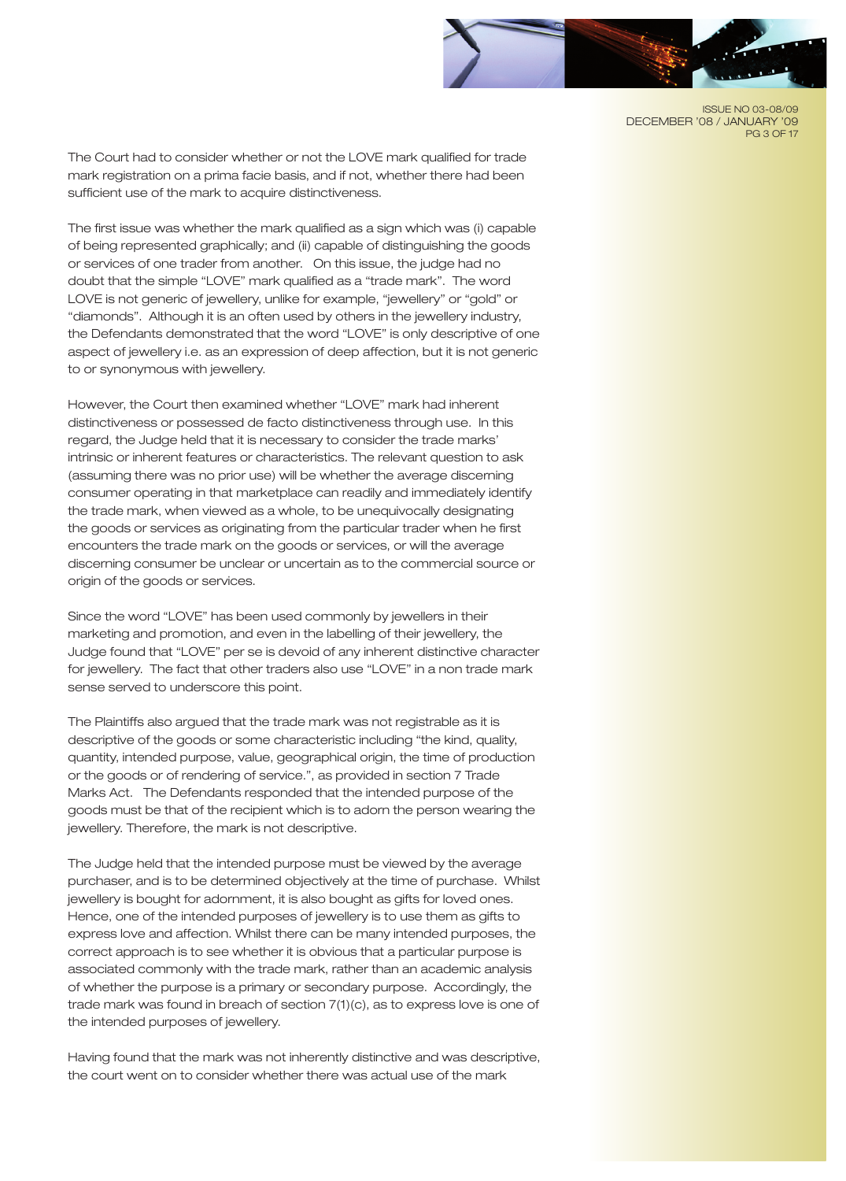

ISSUE NO 03-08/09 DECEMBER '08 / JANUARY '09 **PG 3 OF 17** 

The Court had to consider whether or not the LOVE mark qualified for trade mark registration on a prima facie basis, and if not, whether there had been sufficient use of the mark to acquire distinctiveness.

The first issue was whether the mark qualified as a sign which was (i) capable of being represented graphically; and (ii) capable of distinguishing the goods or services of one trader from another. On this issue, the judge had no doubt that the simple "LOVE" mark qualified as a "trade mark". The word LOVE is not generic of jewellery, unlike for example, "jewellery" or "gold" or "diamonds". Although it is an often used by others in the jewellery industry, the Defendants demonstrated that the word "LOVE" is only descriptive of one aspect of jewellery i.e. as an expression of deep affection, but it is not generic to or synonymous with jewellery.

However, the Court then examined whether "LOVE" mark had inherent distinctiveness or possessed de facto distinctiveness through use. In this regard, the Judge held that it is necessary to consider the trade marks' intrinsic or inherent features or characteristics. The relevant question to ask (assuming there was no prior use) will be whether the average discerning consumer operating in that marketplace can readily and immediately identify the trade mark, when viewed as a whole, to be unequivocally designating the goods or services as originating from the particular trader when he first encounters the trade mark on the goods or services, or will the average discerning consumer be unclear or uncertain as to the commercial source or origin of the goods or services.

Since the word "LOVE" has been used commonly by jewellers in their marketing and promotion, and even in the labelling of their jewellery, the Judge found that "LOVE" per se is devoid of any inherent distinctive character for jewellery. The fact that other traders also use "LOVE" in a non trade mark sense served to underscore this point.

The Plaintiffs also argued that the trade mark was not registrable as it is descriptive of the goods or some characteristic including "the kind, quality, quantity, intended purpose, value, geographical origin, the time of production or the goods or of rendering of service.", as provided in section 7 Trade Marks Act. The Defendants responded that the intended purpose of the goods must be that of the recipient which is to adorn the person wearing the jewellery. Therefore, the mark is not descriptive.

The Judge held that the intended purpose must be viewed by the average purchaser, and is to be determined objectively at the time of purchase. Whilst jewellery is bought for adornment, it is also bought as gifts for loved ones. Hence, one of the intended purposes of jewellery is to use them as gifts to express love and affection. Whilst there can be many intended purposes, the correct approach is to see whether it is obvious that a particular purpose is associated commonly with the trade mark, rather than an academic analysis of whether the purpose is a primary or secondary purpose. Accordingly, the trade mark was found in breach of section 7(1)(c), as to express love is one of the intended purposes of jewellery.

Having found that the mark was not inherently distinctive and was descriptive, the court went on to consider whether there was actual use of the mark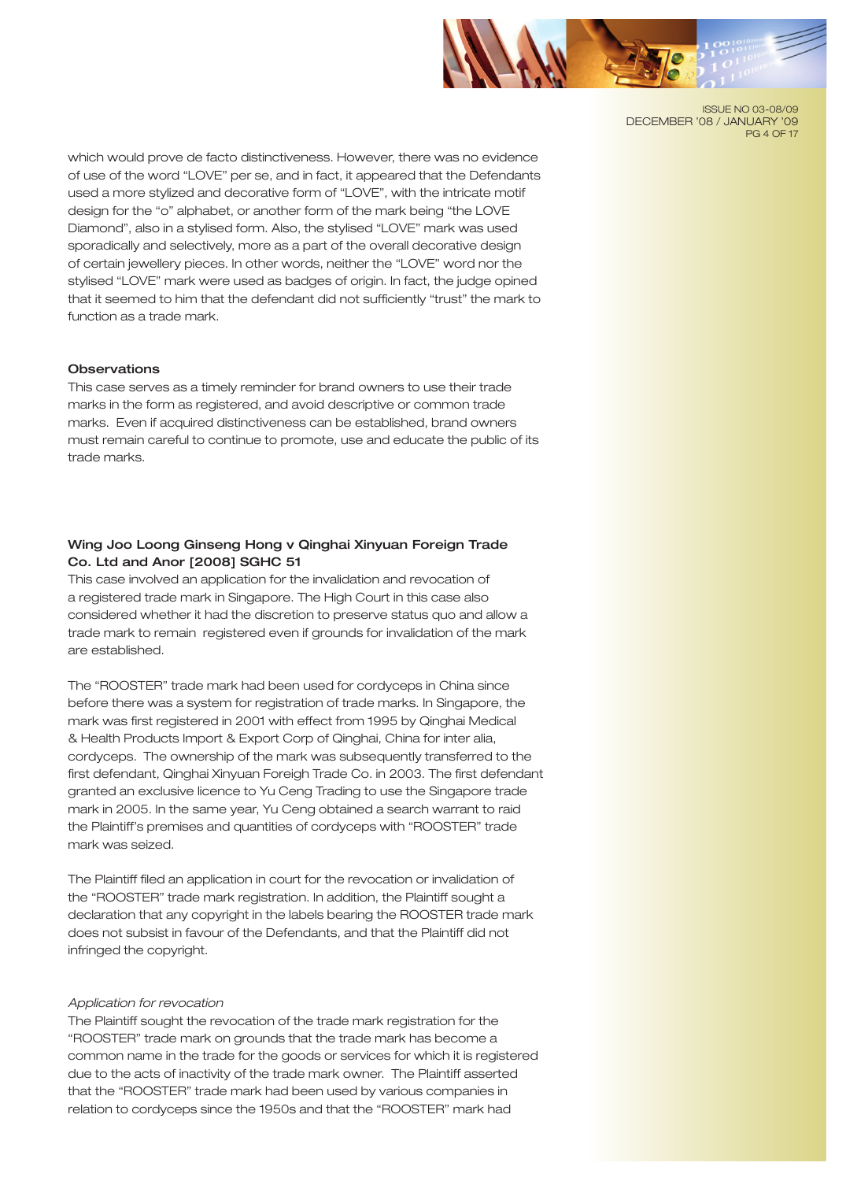

ISSUE NO 03-08/09 DECEMBER '08 / JANUARY '09 **PG 4 OF 17** 

which would prove de facto distinctiveness. However, there was no evidence of use of the word "LOVE" per se, and in fact, it appeared that the Defendants used a more stylized and decorative form of "LOVE", with the intricate motif design for the "o" alphabet, or another form of the mark being "the LOVE Diamond", also in a stylised form. Also, the stylised "LOVE" mark was used sporadically and selectively, more as a part of the overall decorative design of certain jewellery pieces. In other words, neither the "LOVE" word nor the stylised "LOVE" mark were used as badges of origin. In fact, the judge opined that it seemed to him that the defendant did not sufficiently "trust" the mark to function as a trade mark.

#### **Observations**

This case serves as a timely reminder for brand owners to use their trade marks in the form as registered, and avoid descriptive or common trade marks. Even if acquired distinctiveness can be established, brand owners must remain careful to continue to promote, use and educate the public of its trade marks.

## Wing Joo Loong Ginseng Hong v Qinghai Xinyuan Foreign Trade Co. Ltd and Anor [2008] SGHC 51

This case involved an application for the invalidation and revocation of a registered trade mark in Singapore. The High Court in this case also considered whether it had the discretion to preserve status quo and allow a trade mark to remain registered even if grounds for invalidation of the mark are established.

The "ROOSTER" trade mark had been used for cordyceps in China since before there was a system for registration of trade marks. In Singapore, the mark was first registered in 2001 with effect from 1995 by Qinghai Medical & Health Products Import & Export Corp of Qinghai, China for inter alia, cordyceps. The ownership of the mark was subsequently transferred to the first defendant, Qinghai Xinyuan Foreigh Trade Co. in 2003. The first defendant granted an exclusive licence to Yu Ceng Trading to use the Singapore trade mark in 2005. In the same year, Yu Ceng obtained a search warrant to raid the Plaintiff's premises and quantities of cordyceps with "ROOSTER" trade mark was seized.

The Plaintiff filed an application in court for the revocation or invalidation of the "ROOSTER" trade mark registration. In addition, the Plaintiff sought a declaration that any copyright in the labels bearing the ROOSTER trade mark does not subsist in favour of the Defendants, and that the Plaintiff did not infringed the copyright.

#### *Application for revocation*

The Plaintiff sought the revocation of the trade mark registration for the "ROOSTER" trade mark on grounds that the trade mark has become a common name in the trade for the goods or services for which it is registered due to the acts of inactivity of the trade mark owner. The Plaintiff asserted that the "ROOSTER" trade mark had been used by various companies in relation to cordyceps since the 1950s and that the "ROOSTER" mark had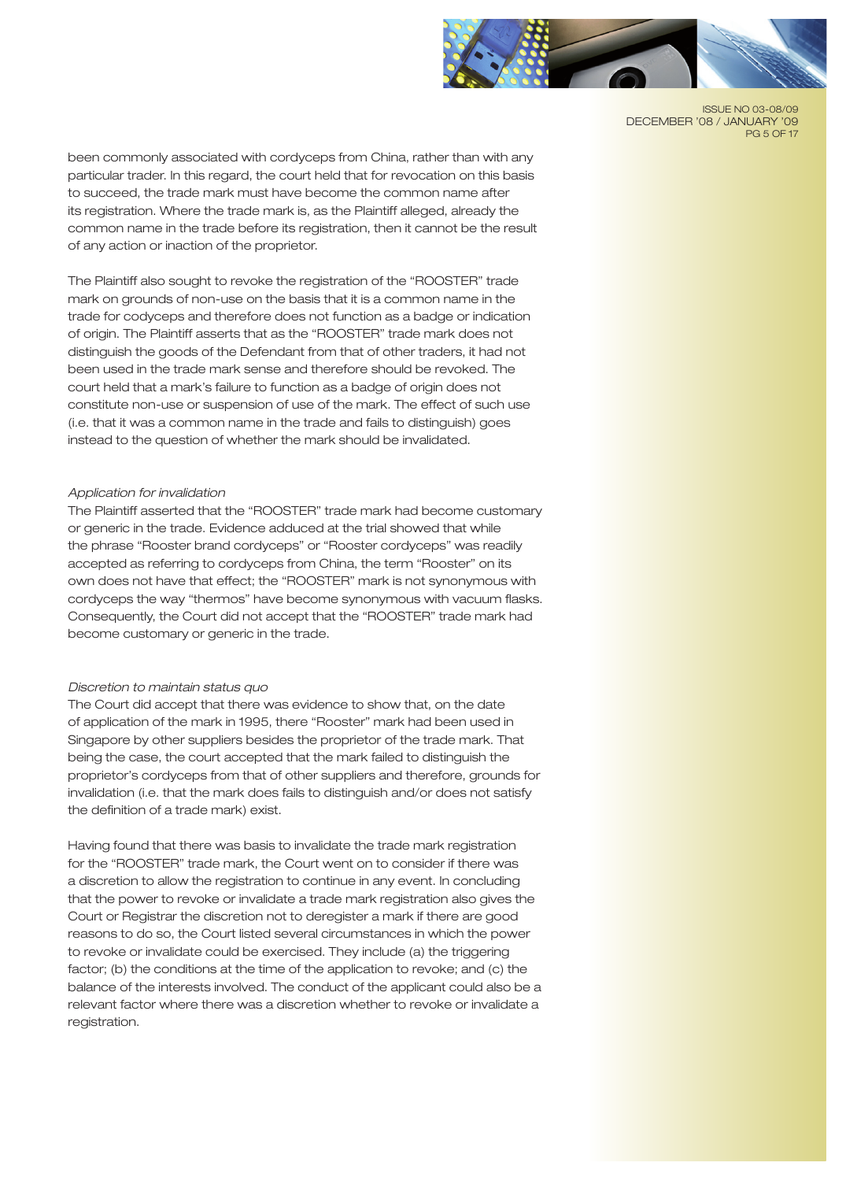

ISSUE NO 03-08/09 DECEMBER '08 / JANUARY '09 **PG 5 OF 17** 

been commonly associated with cordyceps from China, rather than with any particular trader. In this regard, the court held that for revocation on this basis to succeed, the trade mark must have become the common name after its registration. Where the trade mark is, as the Plaintiff alleged, already the common name in the trade before its registration, then it cannot be the result of any action or inaction of the proprietor.

The Plaintiff also sought to revoke the registration of the "ROOSTER" trade mark on grounds of non-use on the basis that it is a common name in the trade for codyceps and therefore does not function as a badge or indication of origin. The Plaintiff asserts that as the "ROOSTER" trade mark does not distinguish the goods of the Defendant from that of other traders, it had not been used in the trade mark sense and therefore should be revoked. The court held that a mark's failure to function as a badge of origin does not constitute non-use or suspension of use of the mark. The effect of such use (i.e. that it was a common name in the trade and fails to distinguish) goes instead to the question of whether the mark should be invalidated.

#### *Application for invalidation*

The Plaintiff asserted that the "ROOSTER" trade mark had become customary or generic in the trade. Evidence adduced at the trial showed that while the phrase "Rooster brand cordyceps" or "Rooster cordyceps" was readily accepted as referring to cordyceps from China, the term "Rooster" on its own does not have that effect; the "ROOSTER" mark is not synonymous with cordyceps the way "thermos" have become synonymous with vacuum flasks. Consequently, the Court did not accept that the "ROOSTER" trade mark had become customary or generic in the trade.

#### *Discretion to maintain status quo*

The Court did accept that there was evidence to show that, on the date of application of the mark in 1995, there "Rooster" mark had been used in Singapore by other suppliers besides the proprietor of the trade mark. That being the case, the court accepted that the mark failed to distinguish the proprietor's cordyceps from that of other suppliers and therefore, grounds for invalidation (i.e. that the mark does fails to distinguish and/or does not satisfy the definition of a trade mark) exist.

Having found that there was basis to invalidate the trade mark registration for the "ROOSTER" trade mark, the Court went on to consider if there was a discretion to allow the registration to continue in any event. In concluding that the power to revoke or invalidate a trade mark registration also gives the Court or Registrar the discretion not to deregister a mark if there are good reasons to do so, the Court listed several circumstances in which the power to revoke or invalidate could be exercised. They include (a) the triggering factor; (b) the conditions at the time of the application to revoke; and (c) the balance of the interests involved. The conduct of the applicant could also be a relevant factor where there was a discretion whether to revoke or invalidate a registration.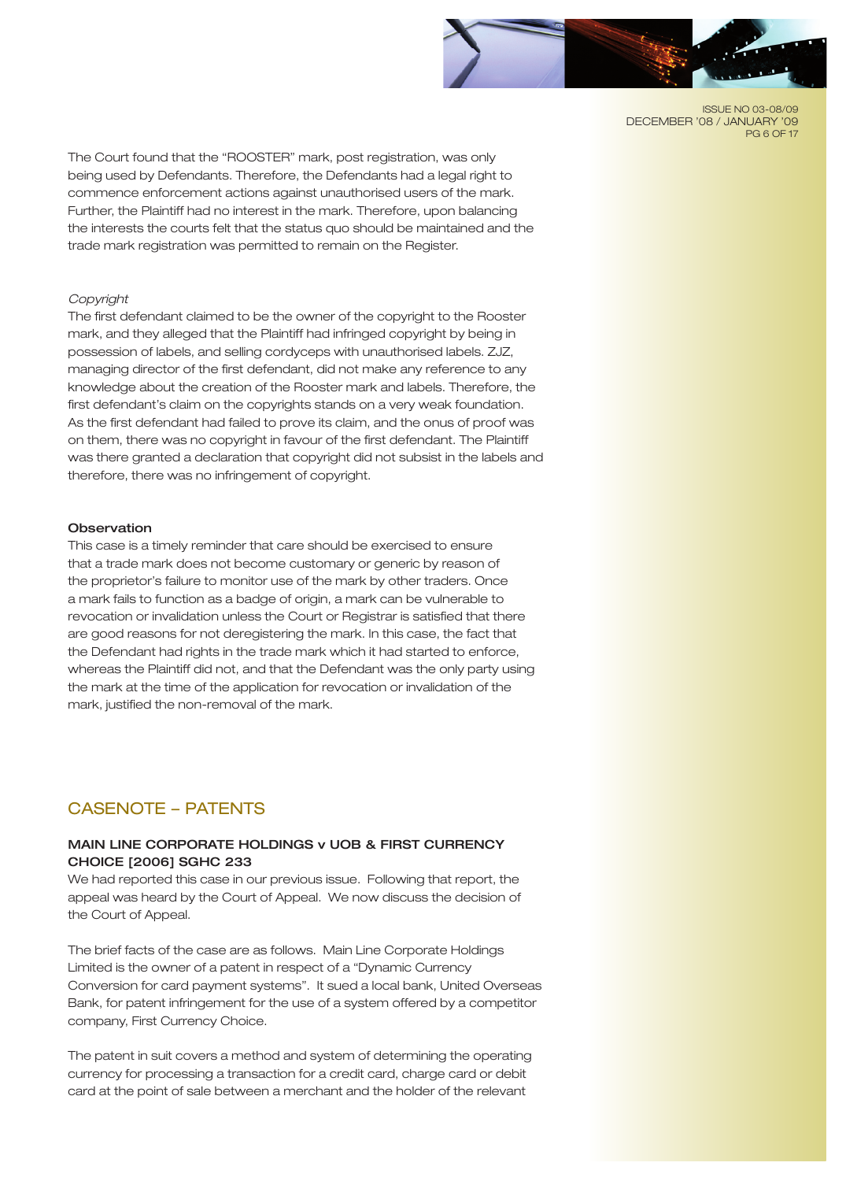

ISSUE NO 03-08/09 DECEMBER '08 / JANUARY '09 **PG 6 OF 17** 

The Court found that the "ROOSTER" mark, post registration, was only being used by Defendants. Therefore, the Defendants had a legal right to commence enforcement actions against unauthorised users of the mark. Further, the Plaintiff had no interest in the mark. Therefore, upon balancing the interests the courts felt that the status quo should be maintained and the trade mark registration was permitted to remain on the Register.

#### *Copyright*

The first defendant claimed to be the owner of the copyright to the Rooster mark, and they alleged that the Plaintiff had infringed copyright by being in possession of labels, and selling cordyceps with unauthorised labels. ZJZ, managing director of the first defendant, did not make any reference to any knowledge about the creation of the Rooster mark and labels. Therefore, the first defendant's claim on the copyrights stands on a very weak foundation. As the first defendant had failed to prove its claim, and the onus of proof was on them, there was no copyright in favour of the first defendant. The Plaintiff was there granted a declaration that copyright did not subsist in the labels and therefore, there was no infringement of copyright.

#### **Observation**

This case is a timely reminder that care should be exercised to ensure that a trade mark does not become customary or generic by reason of the proprietor's failure to monitor use of the mark by other traders. Once a mark fails to function as a badge of origin, a mark can be vulnerable to revocation or invalidation unless the Court or Registrar is satisfied that there are good reasons for not deregistering the mark. In this case, the fact that the Defendant had rights in the trade mark which it had started to enforce, whereas the Plaintiff did not, and that the Defendant was the only party using the mark at the time of the application for revocation or invalidation of the mark, justified the non-removal of the mark.

# CASENOTE – PATENTS

# MAIN LINE CORPORATE HOLDINGS v UOB & FIRST CURRENCY CHOICE [2006] SGHC 233

We had reported this case in our previous issue. Following that report, the appeal was heard by the Court of Appeal. We now discuss the decision of the Court of Appeal.

The brief facts of the case are as follows. Main Line Corporate Holdings Limited is the owner of a patent in respect of a "Dynamic Currency Conversion for card payment systems". It sued a local bank, United Overseas Bank, for patent infringement for the use of a system offered by a competitor company, First Currency Choice.

The patent in suit covers a method and system of determining the operating currency for processing a transaction for a credit card, charge card or debit card at the point of sale between a merchant and the holder of the relevant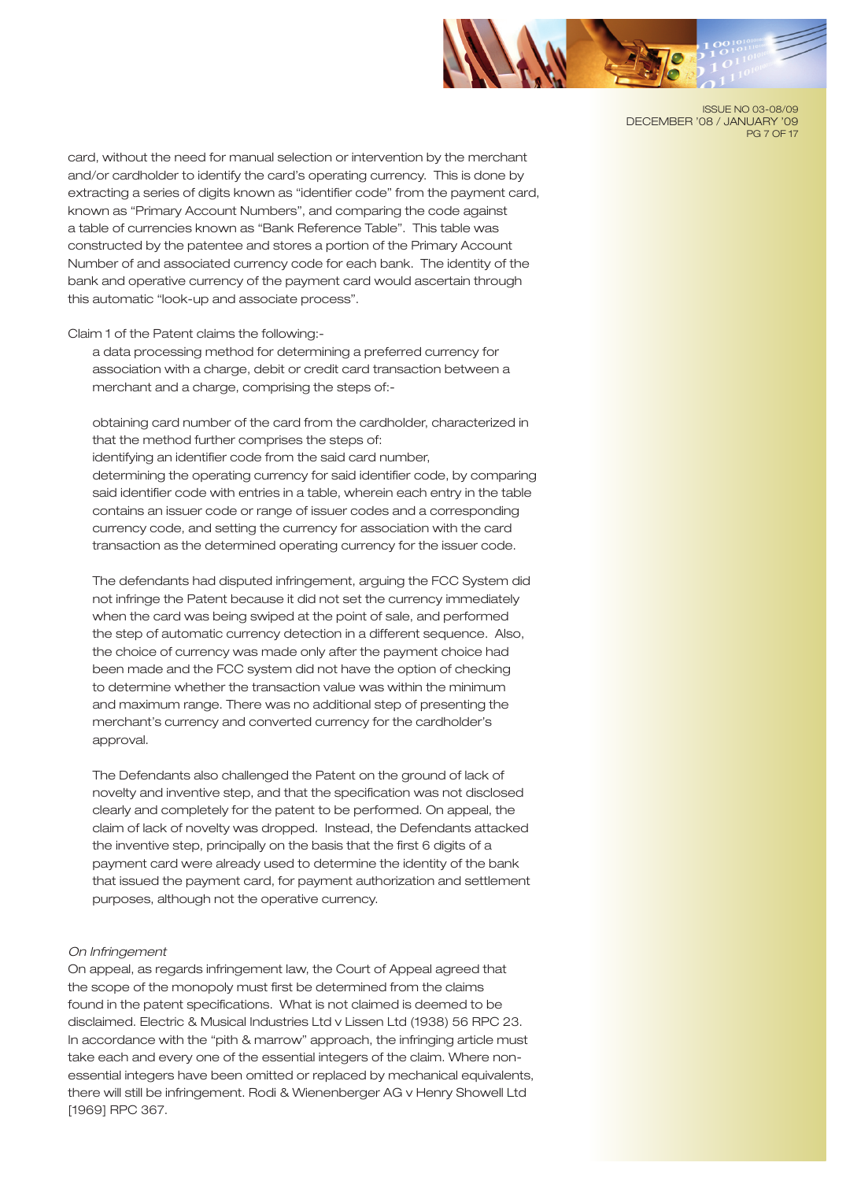

ISSUE NO 03-08/09 DECEMBER '08 / JANUARY '09 **PG 7 OF 17** 

card, without the need for manual selection or intervention by the merchant and/or cardholder to identify the card's operating currency. This is done by extracting a series of digits known as "identifier code" from the payment card, known as "Primary Account Numbers", and comparing the code against a table of currencies known as "Bank Reference Table". This table was constructed by the patentee and stores a portion of the Primary Account Number of and associated currency code for each bank. The identity of the bank and operative currency of the payment card would ascertain through this automatic "look-up and associate process".

Claim 1 of the Patent claims the following:-

a data processing method for determining a preferred currency for association with a charge, debit or credit card transaction between a merchant and a charge, comprising the steps of:-

obtaining card number of the card from the cardholder, characterized in that the method further comprises the steps of: identifying an identifier code from the said card number, determining the operating currency for said identifier code, by comparing said identifier code with entries in a table, wherein each entry in the table contains an issuer code or range of issuer codes and a corresponding currency code, and setting the currency for association with the card transaction as the determined operating currency for the issuer code.

The defendants had disputed infringement, arguing the FCC System did not infringe the Patent because it did not set the currency immediately when the card was being swiped at the point of sale, and performed the step of automatic currency detection in a different sequence. Also, the choice of currency was made only after the payment choice had been made and the FCC system did not have the option of checking to determine whether the transaction value was within the minimum and maximum range. There was no additional step of presenting the merchant's currency and converted currency for the cardholder's approval.

The Defendants also challenged the Patent on the ground of lack of novelty and inventive step, and that the specification was not disclosed clearly and completely for the patent to be performed. On appeal, the claim of lack of novelty was dropped. Instead, the Defendants attacked the inventive step, principally on the basis that the first 6 digits of a payment card were already used to determine the identity of the bank that issued the payment card, for payment authorization and settlement purposes, although not the operative currency.

#### *On Infringement*

On appeal, as regards infringement law, the Court of Appeal agreed that the scope of the monopoly must first be determined from the claims found in the patent specifications. What is not claimed is deemed to be disclaimed. Electric & Musical Industries Ltd v Lissen Ltd (1938) 56 RPC 23. In accordance with the "pith & marrow" approach, the infringing article must take each and every one of the essential integers of the claim. Where nonessential integers have been omitted or replaced by mechanical equivalents, there will still be infringement. Rodi & Wienenberger AG v Henry Showell Ltd [1969] RPC 367.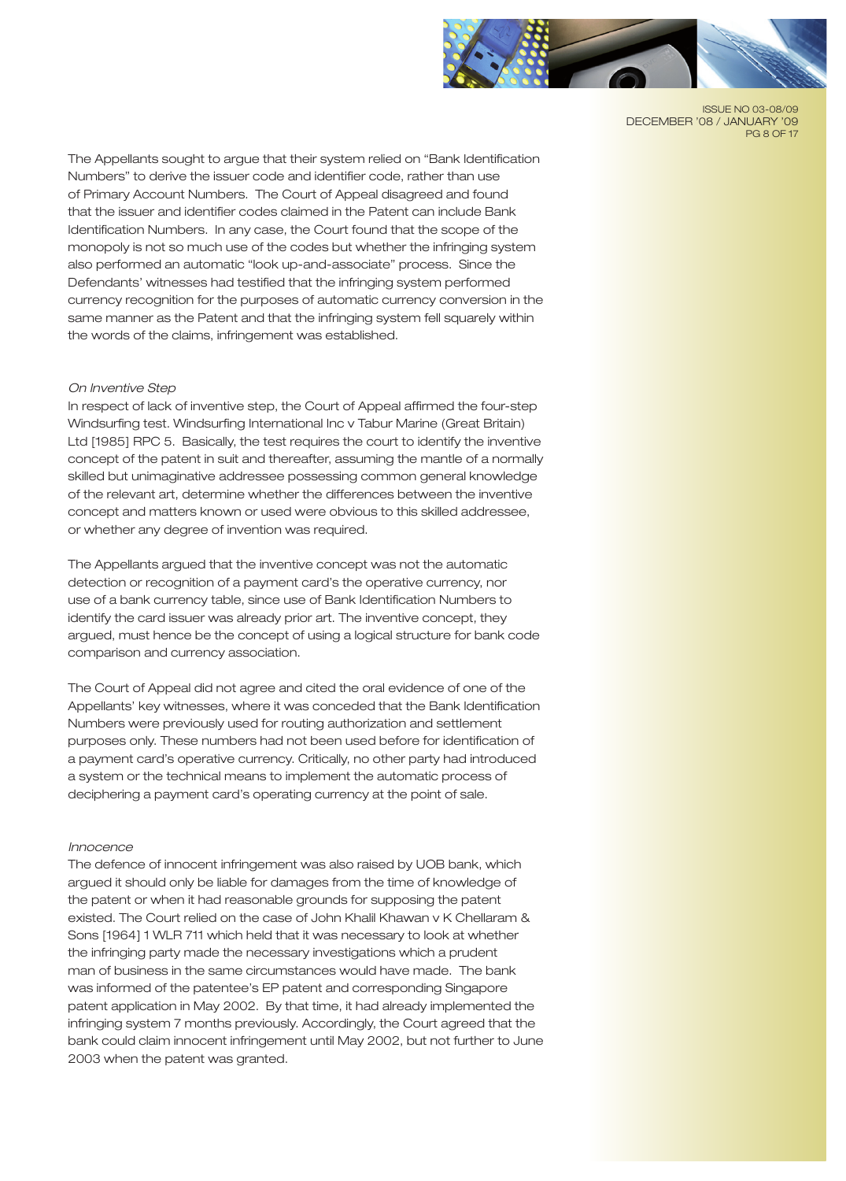

ISSUE NO 03-08/09 DECEMBER '08 / JANUARY '09 **PG 8 OF 17** 

The Appellants sought to argue that their system relied on "Bank Identification Numbers" to derive the issuer code and identifier code, rather than use of Primary Account Numbers. The Court of Appeal disagreed and found that the issuer and identifier codes claimed in the Patent can include Bank Identification Numbers. In any case, the Court found that the scope of the monopoly is not so much use of the codes but whether the infringing system also performed an automatic "look up-and-associate" process. Since the Defendants' witnesses had testified that the infringing system performed currency recognition for the purposes of automatic currency conversion in the same manner as the Patent and that the infringing system fell squarely within the words of the claims, infringement was established.

#### *On Inventive Step*

In respect of lack of inventive step, the Court of Appeal affirmed the four-step Windsurfing test. Windsurfing International Inc v Tabur Marine (Great Britain) Ltd [1985] RPC 5. Basically, the test requires the court to identify the inventive concept of the patent in suit and thereafter, assuming the mantle of a normally skilled but unimaginative addressee possessing common general knowledge of the relevant art, determine whether the differences between the inventive concept and matters known or used were obvious to this skilled addressee, or whether any degree of invention was required.

The Appellants argued that the inventive concept was not the automatic detection or recognition of a payment card's the operative currency, nor use of a bank currency table, since use of Bank Identification Numbers to identify the card issuer was already prior art. The inventive concept, they argued, must hence be the concept of using a logical structure for bank code comparison and currency association.

The Court of Appeal did not agree and cited the oral evidence of one of the Appellants' key witnesses, where it was conceded that the Bank Identification Numbers were previously used for routing authorization and settlement purposes only. These numbers had not been used before for identification of a payment card's operative currency. Critically, no other party had introduced a system or the technical means to implement the automatic process of deciphering a payment card's operating currency at the point of sale.

#### *Innocence*

The defence of innocent infringement was also raised by UOB bank, which argued it should only be liable for damages from the time of knowledge of the patent or when it had reasonable grounds for supposing the patent existed. The Court relied on the case of John Khalil Khawan v K Chellaram & Sons [1964] 1 WLR 711 which held that it was necessary to look at whether the infringing party made the necessary investigations which a prudent man of business in the same circumstances would have made. The bank was informed of the patentee's EP patent and corresponding Singapore patent application in May 2002. By that time, it had already implemented the infringing system 7 months previously. Accordingly, the Court agreed that the bank could claim innocent infringement until May 2002, but not further to June 2003 when the patent was granted.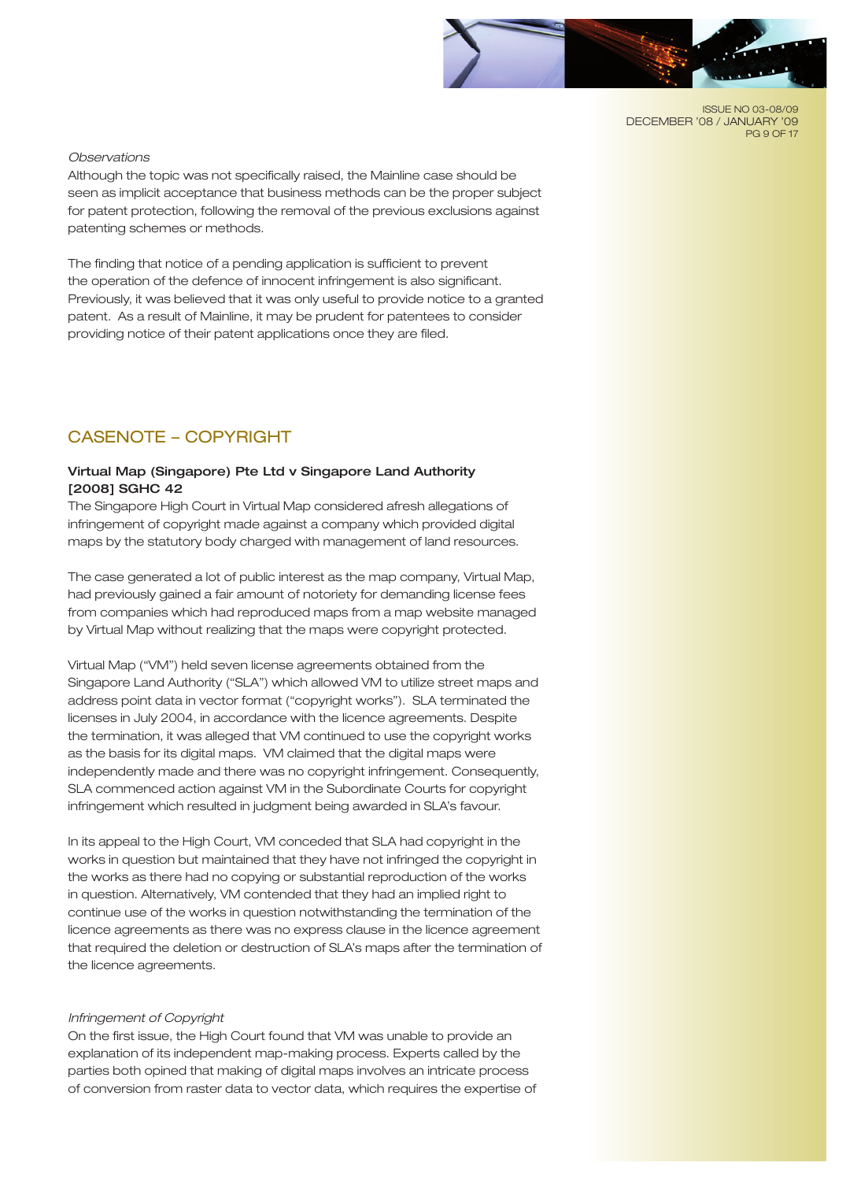

ISSUE NO 03-08/09 DECEMBER '08 / JANUARY '09 **PG 9 OF 17** 

## *Observations*

Although the topic was not specifically raised, the Mainline case should be seen as implicit acceptance that business methods can be the proper subject for patent protection, following the removal of the previous exclusions against patenting schemes or methods.

The finding that notice of a pending application is sufficient to prevent the operation of the defence of innocent infringement is also significant. Previously, it was believed that it was only useful to provide notice to a granted patent. As a result of Mainline, it may be prudent for patentees to consider providing notice of their patent applications once they are filed.

# CASENOTE – COPYRIGHT

# Virtual Map (Singapore) Pte Ltd v Singapore Land Authority [2008] SGHC 42

The Singapore High Court in Virtual Map considered afresh allegations of infringement of copyright made against a company which provided digital maps by the statutory body charged with management of land resources.

The case generated a lot of public interest as the map company, Virtual Map, had previously gained a fair amount of notoriety for demanding license fees from companies which had reproduced maps from a map website managed by Virtual Map without realizing that the maps were copyright protected.

Virtual Map ("VM") held seven license agreements obtained from the Singapore Land Authority ("SLA") which allowed VM to utilize street maps and address point data in vector format ("copyright works"). SLA terminated the licenses in July 2004, in accordance with the licence agreements. Despite the termination, it was alleged that VM continued to use the copyright works as the basis for its digital maps. VM claimed that the digital maps were independently made and there was no copyright infringement. Consequently, SLA commenced action against VM in the Subordinate Courts for copyright infringement which resulted in judgment being awarded in SLA's favour.

In its appeal to the High Court, VM conceded that SLA had copyright in the works in question but maintained that they have not infringed the copyright in the works as there had no copying or substantial reproduction of the works in question. Alternatively, VM contended that they had an implied right to continue use of the works in question notwithstanding the termination of the licence agreements as there was no express clause in the licence agreement that required the deletion or destruction of SLA's maps after the termination of the licence agreements.

#### *Infringement of Copyright*

On the first issue, the High Court found that VM was unable to provide an explanation of its independent map-making process. Experts called by the parties both opined that making of digital maps involves an intricate process of conversion from raster data to vector data, which requires the expertise of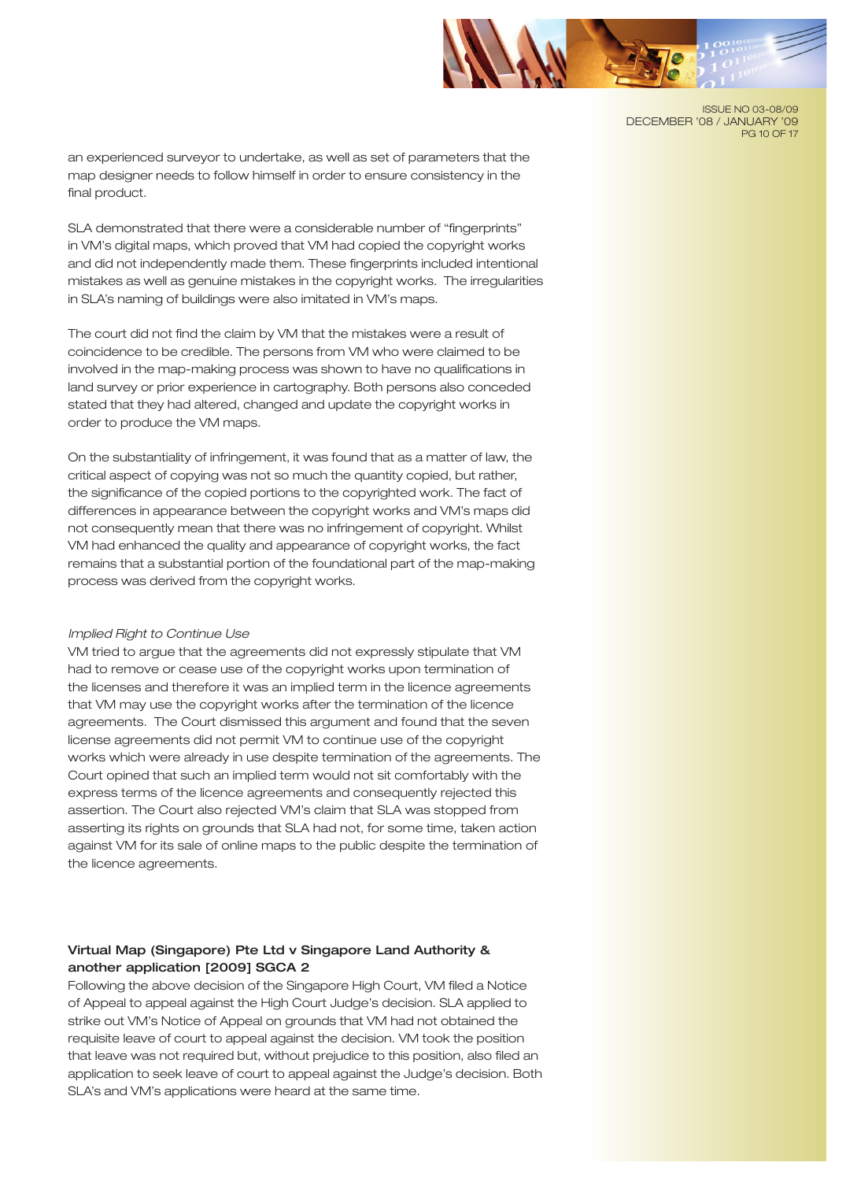

ISSUE NO 03-08/09 DECEMBER '08 / JANUARY '09 PG 10 OF 17

an experienced surveyor to undertake, as well as set of parameters that the map designer needs to follow himself in order to ensure consistency in the final product.

SLA demonstrated that there were a considerable number of "fingerprints" in VM's digital maps, which proved that VM had copied the copyright works and did not independently made them. These fingerprints included intentional mistakes as well as genuine mistakes in the copyright works. The irregularities in SLA's naming of buildings were also imitated in VM's maps.

The court did not find the claim by VM that the mistakes were a result of coincidence to be credible. The persons from VM who were claimed to be involved in the map-making process was shown to have no qualifications in land survey or prior experience in cartography. Both persons also conceded stated that they had altered, changed and update the copyright works in order to produce the VM maps.

On the substantiality of infringement, it was found that as a matter of law, the critical aspect of copying was not so much the quantity copied, but rather, the significance of the copied portions to the copyrighted work. The fact of differences in appearance between the copyright works and VM's maps did not consequently mean that there was no infringement of copyright. Whilst VM had enhanced the quality and appearance of copyright works, the fact remains that a substantial portion of the foundational part of the map-making process was derived from the copyright works.

#### *Implied Right to Continue Use*

VM tried to argue that the agreements did not expressly stipulate that VM had to remove or cease use of the copyright works upon termination of the licenses and therefore it was an implied term in the licence agreements that VM may use the copyright works after the termination of the licence agreements. The Court dismissed this argument and found that the seven license agreements did not permit VM to continue use of the copyright works which were already in use despite termination of the agreements. The Court opined that such an implied term would not sit comfortably with the express terms of the licence agreements and consequently rejected this assertion. The Court also rejected VM's claim that SLA was stopped from asserting its rights on grounds that SLA had not, for some time, taken action against VM for its sale of online maps to the public despite the termination of the licence agreements.

# Virtual Map (Singapore) Pte Ltd v Singapore Land Authority & another application [2009] SGCA 2

Following the above decision of the Singapore High Court, VM filed a Notice of Appeal to appeal against the High Court Judge's decision. SLA applied to strike out VM's Notice of Appeal on grounds that VM had not obtained the requisite leave of court to appeal against the decision. VM took the position that leave was not required but, without prejudice to this position, also filed an application to seek leave of court to appeal against the Judge's decision. Both SLA's and VM's applications were heard at the same time.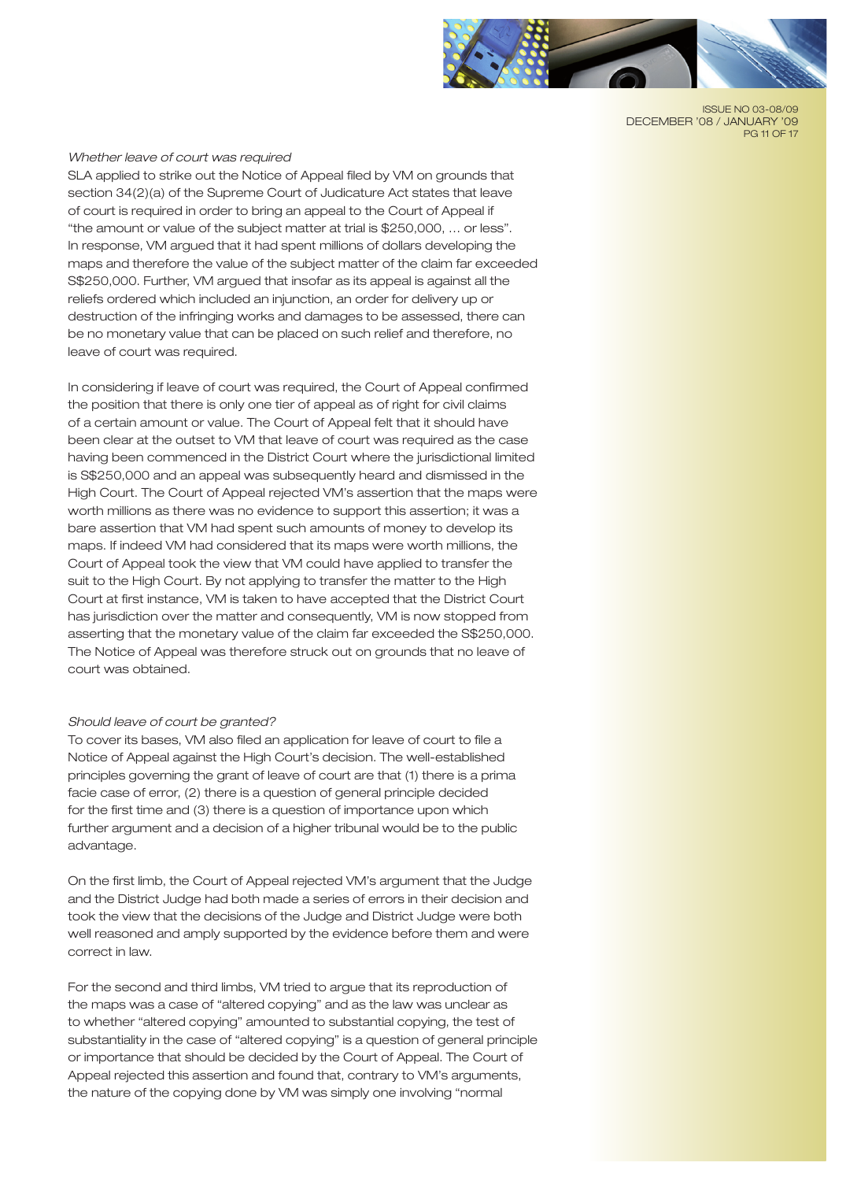

ISSUE NO 03-08/09 DECEMBER '08 / JANUARY '09 PG 11 OF 17

## *Whether leave of court was required*

SLA applied to strike out the Notice of Appeal filed by VM on grounds that section 34(2)(a) of the Supreme Court of Judicature Act states that leave of court is required in order to bring an appeal to the Court of Appeal if "the amount or value of the subject matter at trial is \$250,000, … or less". In response, VM argued that it had spent millions of dollars developing the maps and therefore the value of the subject matter of the claim far exceeded S\$250,000. Further, VM argued that insofar as its appeal is against all the reliefs ordered which included an injunction, an order for delivery up or destruction of the infringing works and damages to be assessed, there can be no monetary value that can be placed on such relief and therefore, no leave of court was required.

In considering if leave of court was required, the Court of Appeal confirmed the position that there is only one tier of appeal as of right for civil claims of a certain amount or value. The Court of Appeal felt that it should have been clear at the outset to VM that leave of court was required as the case having been commenced in the District Court where the jurisdictional limited is S\$250,000 and an appeal was subsequently heard and dismissed in the High Court. The Court of Appeal rejected VM's assertion that the maps were worth millions as there was no evidence to support this assertion; it was a bare assertion that VM had spent such amounts of money to develop its maps. If indeed VM had considered that its maps were worth millions, the Court of Appeal took the view that VM could have applied to transfer the suit to the High Court. By not applying to transfer the matter to the High Court at first instance, VM is taken to have accepted that the District Court has jurisdiction over the matter and consequently, VM is now stopped from asserting that the monetary value of the claim far exceeded the S\$250,000. The Notice of Appeal was therefore struck out on grounds that no leave of court was obtained.

#### *Should leave of court be granted?*

To cover its bases, VM also filed an application for leave of court to file a Notice of Appeal against the High Court's decision. The well-established principles governing the grant of leave of court are that (1) there is a prima facie case of error, (2) there is a question of general principle decided for the first time and (3) there is a question of importance upon which further argument and a decision of a higher tribunal would be to the public advantage.

On the first limb, the Court of Appeal rejected VM's argument that the Judge and the District Judge had both made a series of errors in their decision and took the view that the decisions of the Judge and District Judge were both well reasoned and amply supported by the evidence before them and were correct in law.

For the second and third limbs, VM tried to argue that its reproduction of the maps was a case of "altered copying" and as the law was unclear as to whether "altered copying" amounted to substantial copying, the test of substantiality in the case of "altered copying" is a question of general principle or importance that should be decided by the Court of Appeal. The Court of Appeal rejected this assertion and found that, contrary to VM's arguments, the nature of the copying done by VM was simply one involving "normal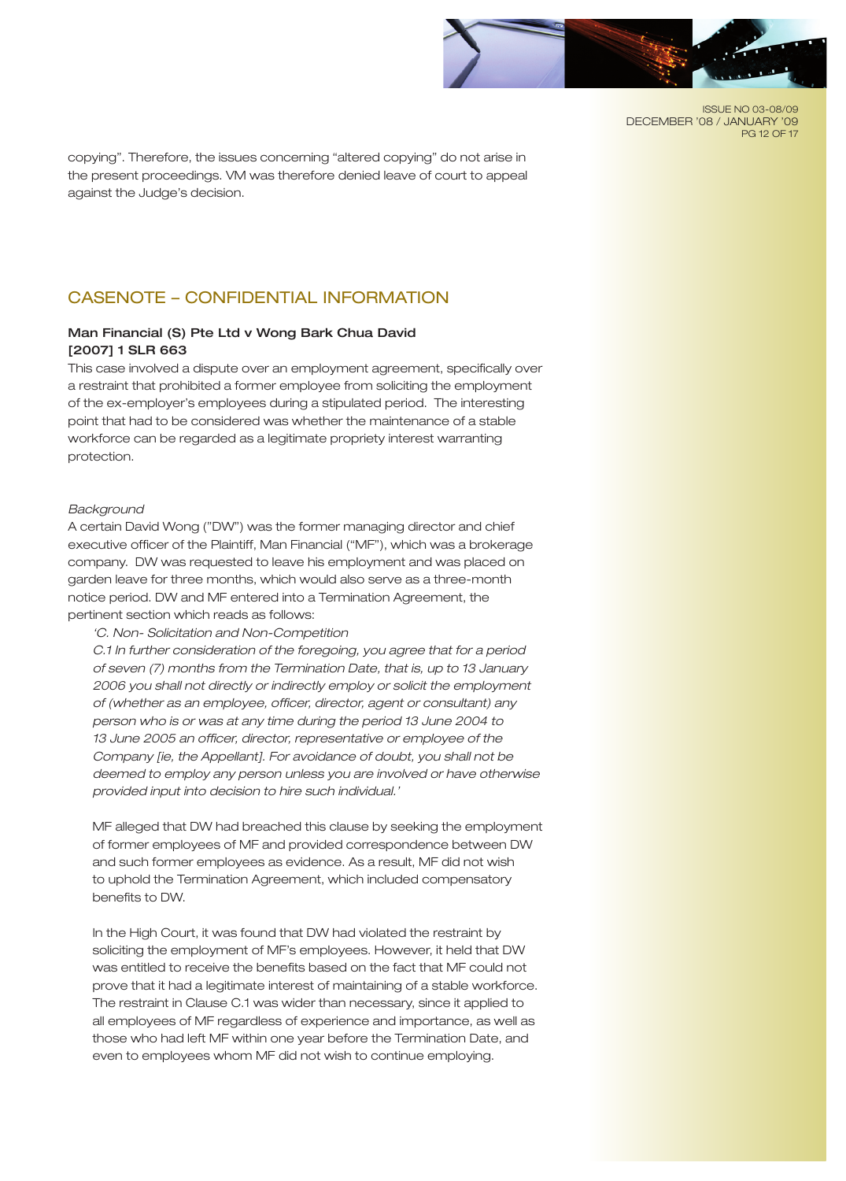

ISSUE NO 03-08/09 DECEMBER '08 / JANUARY '09 PG 12 OF 17

copying". Therefore, the issues concerning "altered copying" do not arise in the present proceedings. VM was therefore denied leave of court to appeal against the Judge's decision.

# CASENOTE – CONFIDENTIAL INFORMATION

# Man Financial (S) Pte Ltd v Wong Bark Chua David [2007] 1 SLR 663

This case involved a dispute over an employment agreement, specifically over a restraint that prohibited a former employee from soliciting the employment of the ex-employer's employees during a stipulated period. The interesting point that had to be considered was whether the maintenance of a stable workforce can be regarded as a legitimate propriety interest warranting protection.

#### *Background*

A certain David Wong ("DW") was the former managing director and chief executive officer of the Plaintiff, Man Financial ("MF"), which was a brokerage company. DW was requested to leave his employment and was placed on garden leave for three months, which would also serve as a three-month notice period. DW and MF entered into a Termination Agreement, the pertinent section which reads as follows:

*'C. Non- Solicitation and Non-Competition*

*C.1 In further consideration of the foregoing, you agree that for a period of seven (7) months from the Termination Date, that is, up to 13 January 2006 you shall not directly or indirectly employ or solicit the employment of (whether as an employee, officer, director, agent or consultant) any person who is or was at any time during the period 13 June 2004 to 13 June 2005 an officer, director, representative or employee of the Company [ie, the Appellant]. For avoidance of doubt, you shall not be deemed to employ any person unless you are involved or have otherwise provided input into decision to hire such individual.'*

MF alleged that DW had breached this clause by seeking the employment of former employees of MF and provided correspondence between DW and such former employees as evidence. As a result, MF did not wish to uphold the Termination Agreement, which included compensatory benefits to DW.

In the High Court, it was found that DW had violated the restraint by soliciting the employment of MF's employees. However, it held that DW was entitled to receive the benefits based on the fact that MF could not prove that it had a legitimate interest of maintaining of a stable workforce. The restraint in Clause C.1 was wider than necessary, since it applied to all employees of MF regardless of experience and importance, as well as those who had left MF within one year before the Termination Date, and even to employees whom MF did not wish to continue employing.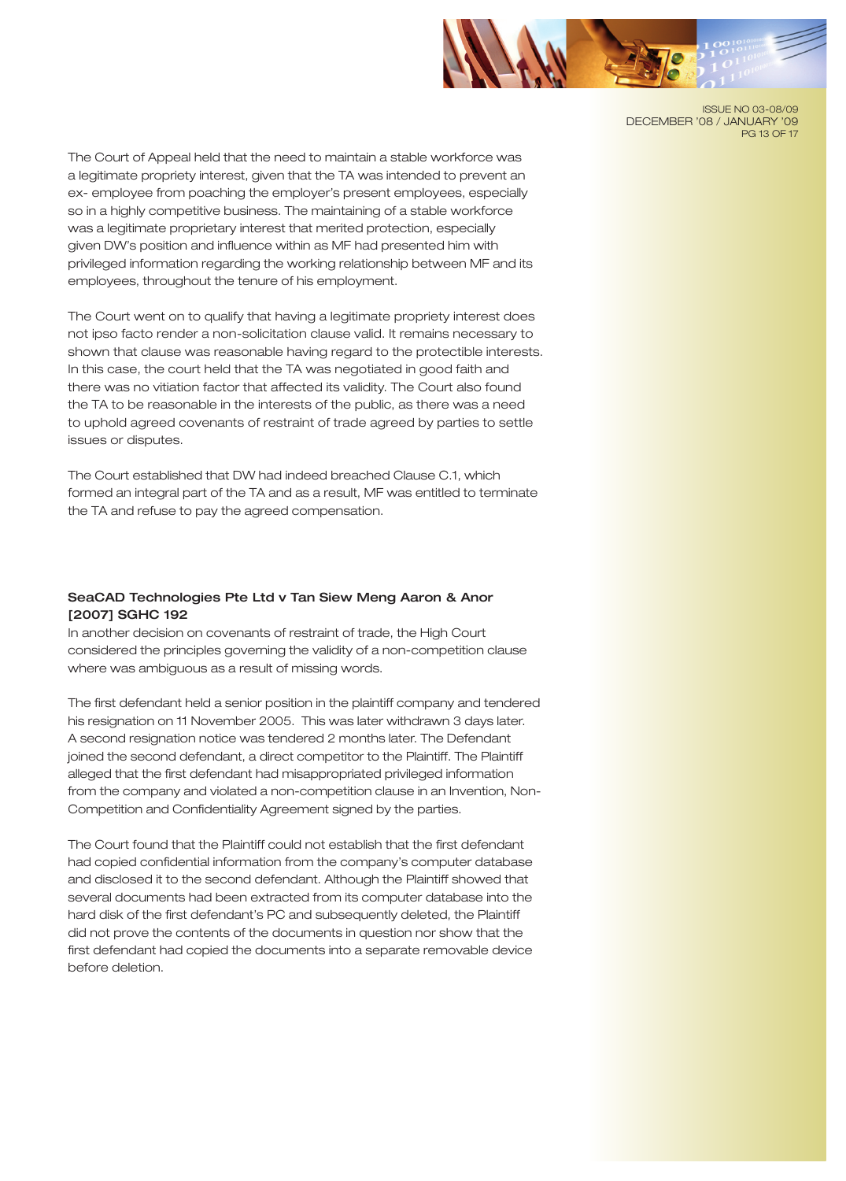

ISSUE NO 03-08/09 DECEMBER '08 / JANUARY '09 PG 13 OF 17

The Court of Appeal held that the need to maintain a stable workforce was a legitimate propriety interest, given that the TA was intended to prevent an ex- employee from poaching the employer's present employees, especially so in a highly competitive business. The maintaining of a stable workforce was a legitimate proprietary interest that merited protection, especially given DW's position and influence within as MF had presented him with privileged information regarding the working relationship between MF and its employees, throughout the tenure of his employment.

The Court went on to qualify that having a legitimate propriety interest does not ipso facto render a non-solicitation clause valid. It remains necessary to shown that clause was reasonable having regard to the protectible interests. In this case, the court held that the TA was negotiated in good faith and there was no vitiation factor that affected its validity. The Court also found the TA to be reasonable in the interests of the public, as there was a need to uphold agreed covenants of restraint of trade agreed by parties to settle issues or disputes.

The Court established that DW had indeed breached Clause C.1, which formed an integral part of the TA and as a result, MF was entitled to terminate the TA and refuse to pay the agreed compensation.

# SeaCAD Technologies Pte Ltd v Tan Siew Meng Aaron & Anor [2007] SGHC 192

In another decision on covenants of restraint of trade, the High Court considered the principles governing the validity of a non-competition clause where was ambiguous as a result of missing words.

The first defendant held a senior position in the plaintiff company and tendered his resignation on 11 November 2005. This was later withdrawn 3 days later. A second resignation notice was tendered 2 months later. The Defendant joined the second defendant, a direct competitor to the Plaintiff. The Plaintiff alleged that the first defendant had misappropriated privileged information from the company and violated a non-competition clause in an Invention, Non-Competition and Confidentiality Agreement signed by the parties.

The Court found that the Plaintiff could not establish that the first defendant had copied confidential information from the company's computer database and disclosed it to the second defendant. Although the Plaintiff showed that several documents had been extracted from its computer database into the hard disk of the first defendant's PC and subsequently deleted, the Plaintiff did not prove the contents of the documents in question nor show that the first defendant had copied the documents into a separate removable device before deletion.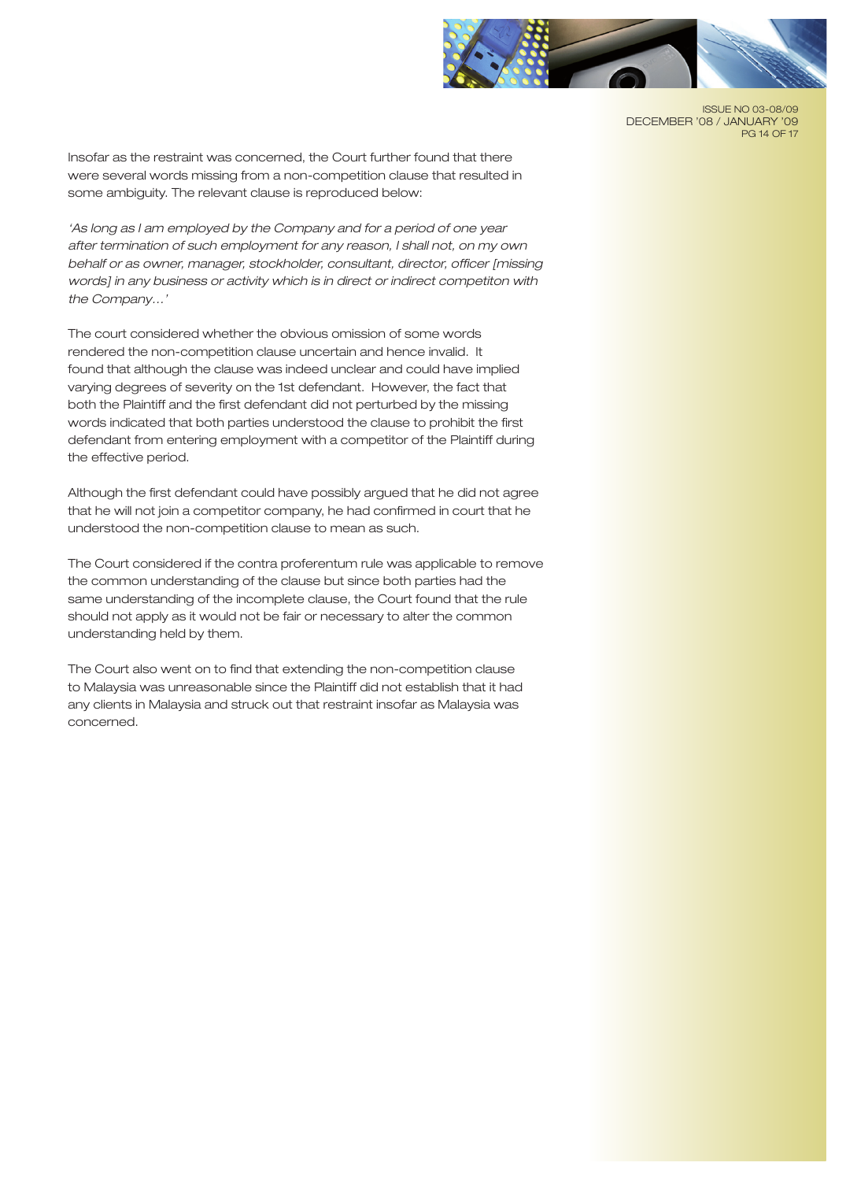

ISSUE NO 03-08/09 DECEMBER '08 / JANUARY '09 PG 14 OF 17

Insofar as the restraint was concerned, the Court further found that there were several words missing from a non-competition clause that resulted in some ambiguity. The relevant clause is reproduced below:

*'As long as I am employed by the Company and for a period of one year after termination of such employment for any reason, I shall not, on my own behalf or as owner, manager, stockholder, consultant, director, officer [missing words] in any business or activity which is in direct or indirect competiton with the Company…'*

The court considered whether the obvious omission of some words rendered the non-competition clause uncertain and hence invalid. It found that although the clause was indeed unclear and could have implied varying degrees of severity on the 1st defendant. However, the fact that both the Plaintiff and the first defendant did not perturbed by the missing words indicated that both parties understood the clause to prohibit the first defendant from entering employment with a competitor of the Plaintiff during the effective period.

Although the first defendant could have possibly argued that he did not agree that he will not join a competitor company, he had confirmed in court that he understood the non-competition clause to mean as such.

The Court considered if the contra proferentum rule was applicable to remove the common understanding of the clause but since both parties had the same understanding of the incomplete clause, the Court found that the rule should not apply as it would not be fair or necessary to alter the common understanding held by them.

The Court also went on to find that extending the non-competition clause to Malaysia was unreasonable since the Plaintiff did not establish that it had any clients in Malaysia and struck out that restraint insofar as Malaysia was concerned.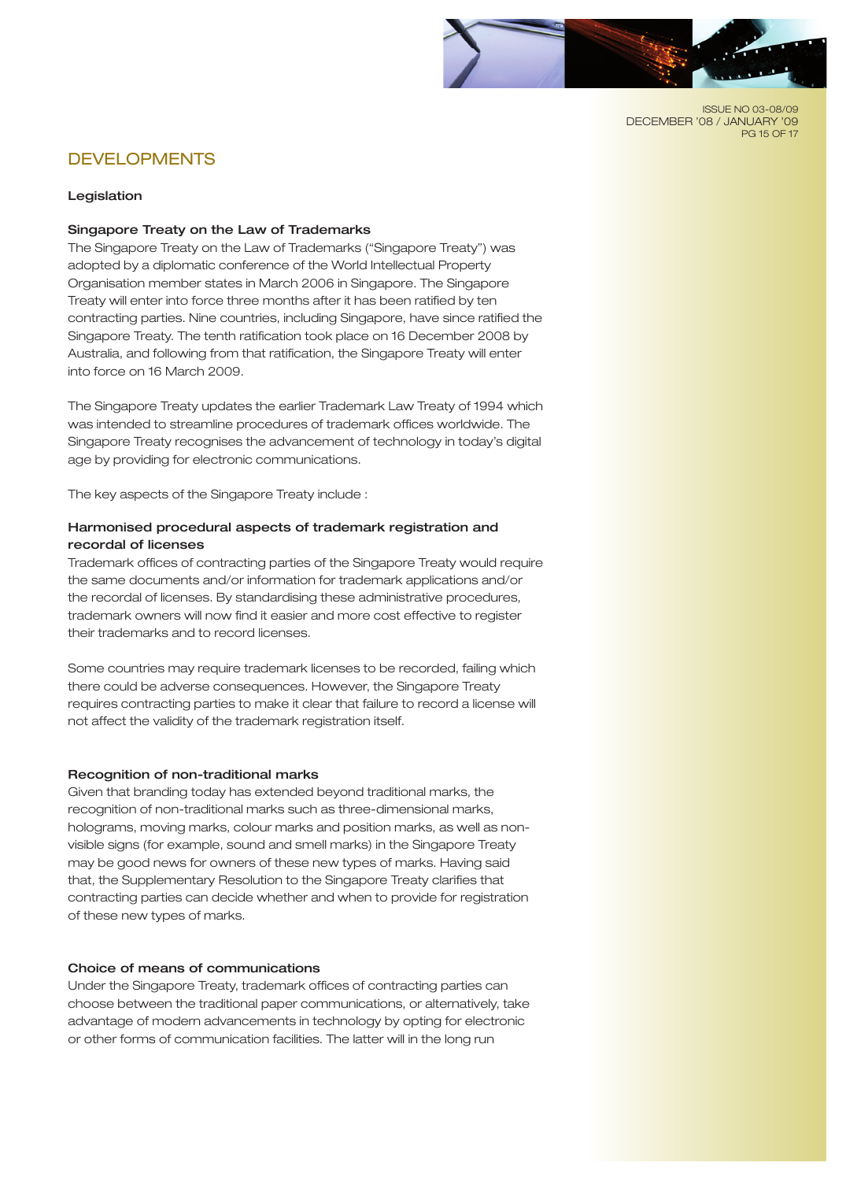

ISSUE NO 03-08/09 DECEMBER '08 / JANUARY '09 PG 15 OF 17

# DEVELOPMENTS

## Legislation

# Singapore Treaty on the Law of Trademarks

The Singapore Treaty on the Law of Trademarks ("Singapore Treaty") was adopted by a diplomatic conference of the World Intellectual Property Organisation member states in March 2006 in Singapore. The Singapore Treaty will enter into force three months after it has been ratified by ten contracting parties. Nine countries, including Singapore, have since ratified the Singapore Treaty. The tenth ratification took place on 16 December 2008 by Australia, and following from that ratification, the Singapore Treaty will enter into force on 16 March 2009.

The Singapore Treaty updates the earlier Trademark Law Treaty of 1994 which was intended to streamline procedures of trademark offices worldwide. The Singapore Treaty recognises the advancement of technology in today's digital age by providing for electronic communications.

The key aspects of the Singapore Treaty include :

# Harmonised procedural aspects of trademark registration and recordal of licenses

Trademark offices of contracting parties of the Singapore Treaty would require the same documents and/or information for trademark applications and/or the recordal of licenses. By standardising these administrative procedures, trademark owners will now find it easier and more cost effective to register their trademarks and to record licenses.

Some countries may require trademark licenses to be recorded, failing which there could be adverse consequences. However, the Singapore Treaty requires contracting parties to make it clear that failure to record a license will not affect the validity of the trademark registration itself.

# Recognition of non-traditional marks

Given that branding today has extended beyond traditional marks, the recognition of non-traditional marks such as three-dimensional marks, holograms, moving marks, colour marks and position marks, as well as nonvisible signs (for example, sound and smell marks) in the Singapore Treaty may be good news for owners of these new types of marks. Having said that, the Supplementary Resolution to the Singapore Treaty clarifies that contracting parties can decide whether and when to provide for registration of these new types of marks.

# Choice of means of communications

Under the Singapore Treaty, trademark offices of contracting parties can choose between the traditional paper communications, or alternatively, take advantage of modern advancements in technology by opting for electronic or other forms of communication facilities. The latter will in the long run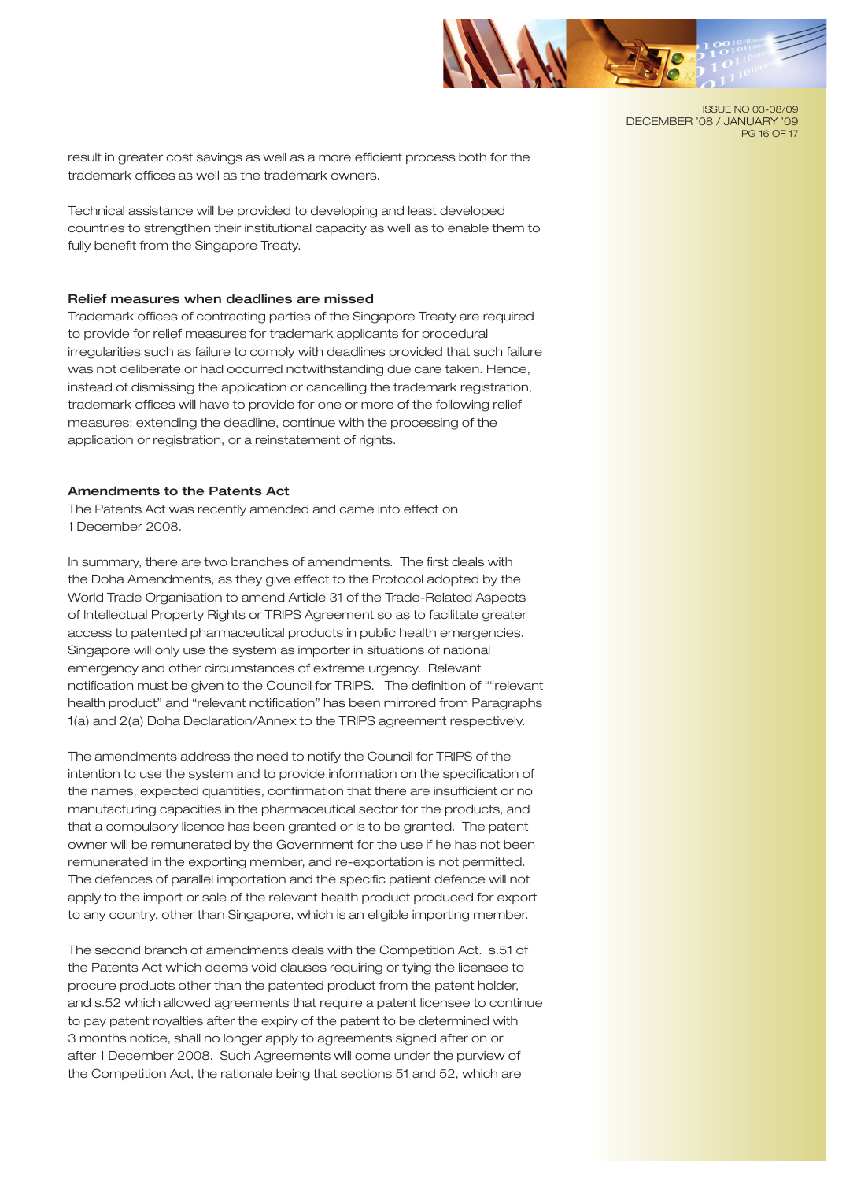

ISSUE NO 03-08/09 DECEMBER '08 / JANUARY '09 PG 16 OF 17

result in greater cost savings as well as a more efficient process both for the trademark offices as well as the trademark owners.

Technical assistance will be provided to developing and least developed countries to strengthen their institutional capacity as well as to enable them to fully benefit from the Singapore Treaty.

#### Relief measures when deadlines are missed

Trademark offices of contracting parties of the Singapore Treaty are required to provide for relief measures for trademark applicants for procedural irregularities such as failure to comply with deadlines provided that such failure was not deliberate or had occurred notwithstanding due care taken. Hence, instead of dismissing the application or cancelling the trademark registration, trademark offices will have to provide for one or more of the following relief measures: extending the deadline, continue with the processing of the application or registration, or a reinstatement of rights.

## Amendments to the Patents Act

The Patents Act was recently amended and came into effect on 1 December 2008.

In summary, there are two branches of amendments. The first deals with the Doha Amendments, as they give effect to the Protocol adopted by the World Trade Organisation to amend Article 31 of the Trade-Related Aspects of Intellectual Property Rights or TRIPS Agreement so as to facilitate greater access to patented pharmaceutical products in public health emergencies. Singapore will only use the system as importer in situations of national emergency and other circumstances of extreme urgency. Relevant notification must be given to the Council for TRIPS. The definition of ""relevant health product" and "relevant notification" has been mirrored from Paragraphs 1(a) and 2(a) Doha Declaration/Annex to the TRIPS agreement respectively.

The amendments address the need to notify the Council for TRIPS of the intention to use the system and to provide information on the specification of the names, expected quantities, confirmation that there are insufficient or no manufacturing capacities in the pharmaceutical sector for the products, and that a compulsory licence has been granted or is to be granted. The patent owner will be remunerated by the Government for the use if he has not been remunerated in the exporting member, and re-exportation is not permitted. The defences of parallel importation and the specific patient defence will not apply to the import or sale of the relevant health product produced for export to any country, other than Singapore, which is an eligible importing member.

The second branch of amendments deals with the Competition Act. s.51 of the Patents Act which deems void clauses requiring or tying the licensee to procure products other than the patented product from the patent holder, and s.52 which allowed agreements that require a patent licensee to continue to pay patent royalties after the expiry of the patent to be determined with 3 months notice, shall no longer apply to agreements signed after on or after 1 December 2008. Such Agreements will come under the purview of the Competition Act, the rationale being that sections 51 and 52, which are